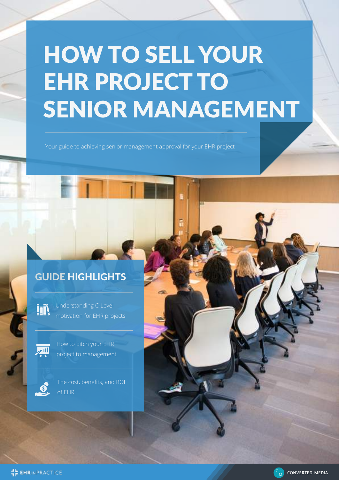# HOW TO SELL YOUR EHR PROJECT TO SENIOR MANAGEMENT

Your guide to achieving senior management approval for your EHR project

## GUIDE HIGHLIGHTS

Understanding C-Level **izi** motivation for EHR projects



S

How to pitch your EHR project to management

The cost, benefits, and ROI of EHR



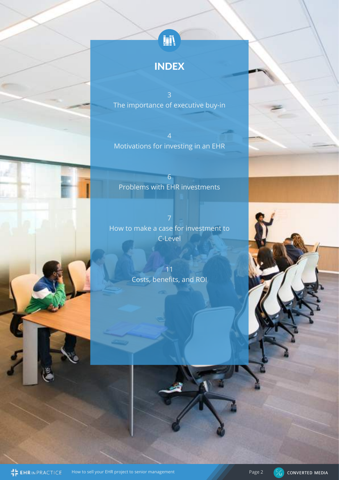## INDEX

The importance of executive buy-in

4 Motivations for investing in an EHR

6 Problems with EHR investments

How to make a case for investment to C-Level

> 11 Costs, benefits, and ROI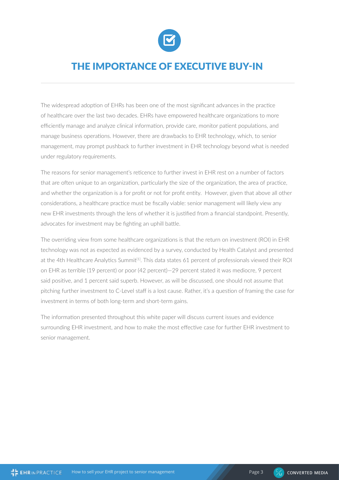

## THE IMPORTANCE OF EXECUTIVE BUY-IN

The widespread adoption of EHRs has been one of the most significant advances in the practice of healthcare over the last two decades. EHRs have empowered healthcare organizations to more efficiently manage and analyze clinical information, provide care, monitor patient populations, and manage business operations. However, there are drawbacks to EHR technology, which, to senior management, may prompt pushback to further investment in EHR technology beyond what is needed under regulatory requirements.

The reasons for senior management's reticence to further invest in EHR rest on a number of factors that are often unique to an organization, particularly the size of the organization, the area of practice, and whether the organization is a for profit or not for profit entity. However, given that above all other considerations, a healthcare practice must be fiscally viable: senior management will likely view any new EHR investments through the lens of whether it is justified from a financial standpoint. Presently, advocates for investment may be fighting an uphill battle.

The overriding view from some healthcare organizations is that the return on investment (ROI) in EHR technology was not as expected as evidenced by a survey, conducted by Health Catalyst and presented at the 4th Healthcare Analytics Summit<sup>[1]</sup>. This data states 61 percent of professionals viewed their ROI on EHR as terrible (19 percent) or poor (42 percent)—29 percent stated it was mediocre, 9 percent said positive, and 1 percent said superb. However, as will be discussed, one should not assume that pitching further investment to C-Level staff is a lost cause. Rather, it's a question of framing the case for investment in terms of both long-term and short-term gains.

The information presented throughout this white paper will discuss current issues and evidence surrounding EHR investment, and how to make the most effective case for further EHR investment to senior management.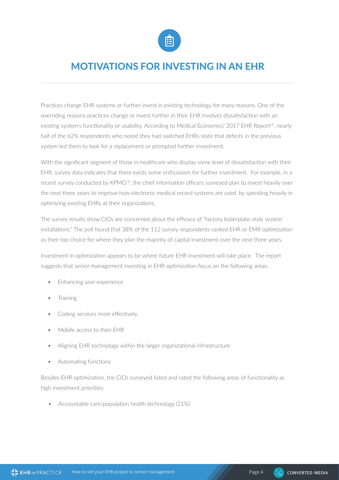

## MOTIVATIONS FOR INVESTING IN AN EHR

Practices change EHR systems or further invest in existing technology for many reasons. One of the overriding reasons practices change or invest further in their EHR involves dissatisfaction with an existing system's functionality or usability. According to Medical Economics' 2017 EHR Report<sup>[2]</sup>, nearly half of the 62% respondents who noted they had switched EHRs state that deficits in the previous system led them to look for a replacement or prompted further investment.

With the significant segment of those in healthcare who display some level of dissatisfaction with their EHR, survey data indicates that there exists some enthusiasm for further investment. For example, in a recent survey conducted by KPMG<sup>[3]</sup>, the chief information officers surveyed plan to invest heavily over the next three years to improve how electronic medical record systems are used, by spending heavily in optimizing existing EHRs at their organizations.

The survey results show CIOs are concerned about the efficacy of "factory boilerplate-style system installations." The poll found that 38% of the 112 survey respondents ranked EHR or EMR optimization as their top choice for where they plan the majority of capital investment over the next three years.

Investment in optimization appears to be where future EHR investment will take place. The report suggests that senior management investing in EHR optimization focus on the following areas:

- Enhancing user experience
- **Training**
- Coding services more effectively
- Mobile access to their EHR
- Aligning EHR technology within the larger organizational infrastructure
- Automating functions

Besides EHR optimization, the CIOs surveyed listed and rated the following areas of functionality as high investment priorities:

• Accountable care/population health technology (21%)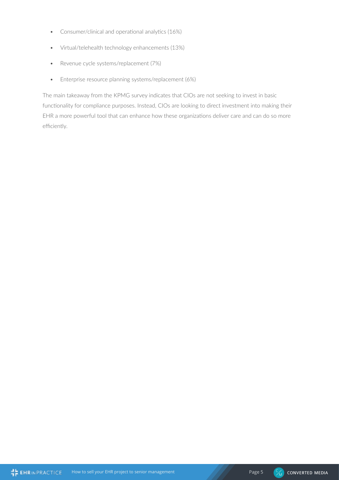- Consumer/clinical and operational analytics (16%)
- Virtual/telehealth technology enhancements (13%)
- Revenue cycle systems/replacement (7%)
- Enterprise resource planning systems/replacement (6%)

The main takeaway from the KPMG survey indicates that CIOs are not seeking to invest in basic functionality for compliance purposes. Instead, CIOs are looking to direct investment into making their EHR a more powerful tool that can enhance how these organizations deliver care and can do so more efficiently.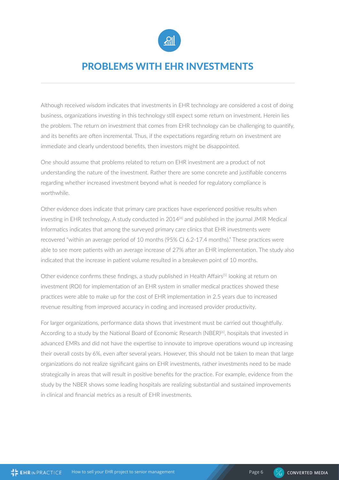

## PROBLEMS WITH EHR INVESTMENTS

Although received wisdom indicates that investments in EHR technology are considered a cost of doing business, organizations investing in this technology still expect some return on investment. Herein lies the problem. The return on investment that comes from EHR technology can be challenging to quantify, and its benefits are often incremental. Thus, if the expectations regarding return on investment are immediate and clearly understood benefits, then investors might be disappointed.

One should assume that problems related to return on EHR investment are a product of not understanding the nature of the investment. Rather there are some concrete and justifiable concerns regarding whether increased investment beyond what is needed for regulatory compliance is worthwhile.

Other evidence does indicate that primary care practices have experienced positive results when investing in EHR technology. A study conducted in 2014<sup>[4]</sup> and published in the journal JMIR Medical Informatics indicates that among the surveyed primary care clinics that EHR investments were recovered "within an average period of 10 months (95% CI 6.2-17.4 months)." These practices were able to see more patients with an average increase of 27% after an EHR implementation. The study also indicated that the increase in patient volume resulted in a breakeven point of 10 months.

Other evidence confirms these findings, a study published in Health Affairs<sup>[5]</sup> looking at return on investment (ROI) for implementation of an EHR system in smaller medical practices showed these practices were able to make up for the cost of EHR implementation in 2.5 years due to increased revenue resulting from improved accuracy in coding and increased provider productivity.

For larger organizations, performance data shows that investment must be carried out thoughtfully. According to a study by the National Board of Economic Research (NBER)<sup>[6]</sup>, hospitals that invested in advanced EMRs and did not have the expertise to innovate to improve operations wound up increasing their overall costs by 6%, even after several years. However, this should not be taken to mean that large organizations do not realize significant gains on EHR investments, rather investments need to be made strategically in areas that will result in positive benefits for the practice. For example, evidence from the study by the NBER shows some leading hospitals are realizing substantial and sustained improvements in clinical and financial metrics as a result of EHR investments.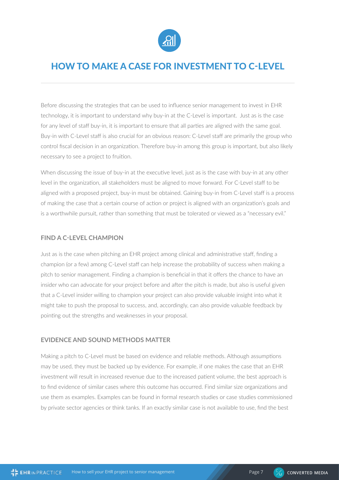

### HOW TO MAKE A CASE FOR INVESTMENT TO C-LEVEL

Before discussing the strategies that can be used to influence senior management to invest in EHR technology, it is important to understand why buy-in at the C-Level is important. Just as is the case for any level of staff buy-in, it is important to ensure that all parties are aligned with the same goal. Buy-in with C-Level staff is also crucial for an obvious reason: C-Level staff are primarily the group who control fiscal decision in an organization. Therefore buy-in among this group is important, but also likely necessary to see a project to fruition.

When discussing the issue of buy-in at the executive level, just as is the case with buy-in at any other level in the organization, all stakeholders must be aligned to move forward. For C-Level staff to be aligned with a proposed project, buy-in must be obtained. Gaining buy-in from C-Level staff is a process of making the case that a certain course of action or project is aligned with an organization's goals and is a worthwhile pursuit, rather than something that must be tolerated or viewed as a "necessary evil."

#### **FIND A C-LEVEL CHAMPION**

Just as is the case when pitching an EHR project among clinical and administrative staff, finding a champion (or a few) among C-Level staff can help increase the probability of success when making a pitch to senior management. Finding a champion is beneficial in that it offers the chance to have an insider who can advocate for your project before and after the pitch is made, but also is useful given that a C-Level insider willing to champion your project can also provide valuable insight into what it might take to push the proposal to success, and, accordingly, can also provide valuable feedback by pointing out the strengths and weaknesses in your proposal.

#### **EVIDENCE AND SOUND METHODS MATTER**

Making a pitch to C-Level must be based on evidence and reliable methods. Although assumptions may be used, they must be backed up by evidence. For example, if one makes the case that an EHR investment will result in increased revenue due to the increased patient volume, the best approach is to find evidence of similar cases where this outcome has occurred. Find similar size organizations and use them as examples. Examples can be found in formal research studies or case studies commissioned by private sector agencies or think tanks. If an exactly similar case is not available to use, find the best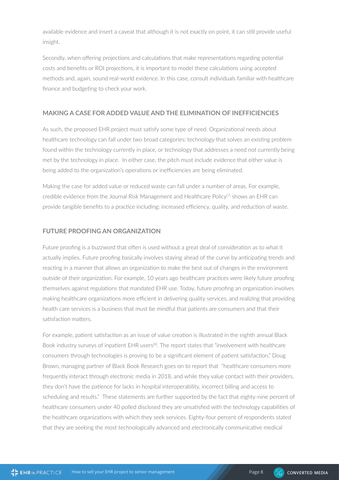available evidence and insert a caveat that although it is not exactly on point, it can still provide useful insight.

Secondly, when offering projections and calculations that make representations regarding potential costs and benefits or ROI projections, it is important to model these calculations using accepted methods and, again, sound real-world evidence. In this case, consult individuals familiar with healthcare finance and budgeting to check your work.

#### **MAKING A CASE FOR ADDED VALUE AND THE ELIMINATION OF INEFFICIENCIES**

As such, the proposed EHR project must satisfy some type of need. Organizational needs about healthcare technology can fall under two broad categories: technology that solves an existing problem found within the technology currently in place, or technology that addresses a need not currently being met by the technology in place. In either case, the pitch must include evidence that either value is being added to the organization's operations or inefficiencies are being eliminated.

Making the case for added value or reduced waste can fall under a number of areas. For example, credible evidence from the Journal Risk Management and Healthcare Policy<sup>[7]</sup> shows an EHR can provide tangible benefits to a practice including: increased efficiency, quality, and reduction of waste.

#### **FUTURE PROOFING AN ORGANIZATION**

Future proofing is a buzzword that often is used without a great deal of consideration as to what it actually implies. Future proofing basically involves staying ahead of the curve by anticipating trends and reacting in a manner that allows an organization to make the best out of changes in the environment outside of their organization. For example, 10 years ago healthcare practices were likely future proofing themselves against regulations that mandated EHR use. Today, future proofing an organization involves making healthcare organizations more efficient in delivering quality services, and realizing that providing health care services is a business that must be mindful that patients are consumers and that their satisfaction matters.

For example, patient satisfaction as an issue of value creation is illustrated in the eighth annual Black Book industry surveys of inpatient EHR users<sup>[8]</sup>. The report states that "involvement with healthcare consumers through technologies is proving to be a significant element of patient satisfaction," Doug Brown, managing partner of Black Book Research goes on to report that "healthcare consumers more frequently interact through electronic media in 2018, and while they value contact with their providers, they don't have the patience for lacks in hospital interoperability, incorrect billing and access to scheduling and results." These statements are further supported by the fact that eighty-nine percent of healthcare consumers under 40 polled disclosed they are unsatisfied with the technology capabilities of the healthcare organizations with which they seek services. Eighty-four percent of respondents stated that they are seeking the most technologically advanced and electronically communicative medical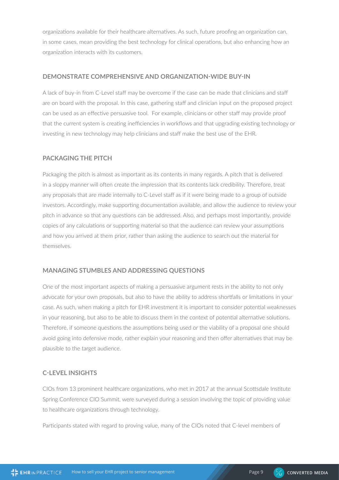organizations available for their healthcare alternatives. As such, future proofing an organization can, in some cases, mean providing the best technology for clinical operations, but also enhancing how an organization interacts with its customers.

#### **DEMONSTRATE COMPREHENSIVE AND ORGANIZATION-WIDE BUY-IN**

A lack of buy-in from C-Level staff may be overcome if the case can be made that clinicians and staff are on board with the proposal. In this case, gathering staff and clinician input on the proposed project can be used as an effective persuasive tool. For example, clinicians or other staff may provide proof that the current system is creating inefficiencies in workflows and that upgrading existing technology or investing in new technology may help clinicians and staff make the best use of the EHR.

#### **PACKAGING THE PITCH**

Packaging the pitch is almost as important as its contents in many regards. A pitch that is delivered in a sloppy manner will often create the impression that its contents lack credibility. Therefore, treat any proposals that are made internally to C-Level staff as if it were being made to a group of outside investors. Accordingly, make supporting documentation available, and allow the audience to review your pitch in advance so that any questions can be addressed. Also, and perhaps most importantly, provide copies of any calculations or supporting material so that the audience can review your assumptions and how you arrived at them prior, rather than asking the audience to search out the material for themselves.

#### **MANAGING STUMBLES AND ADDRESSING QUESTIONS**

One of the most important aspects of making a persuasive argument rests in the ability to not only advocate for your own proposals, but also to have the ability to address shortfalls or limitations in your case. As such, when making a pitch for EHR investment it is important to consider potential weaknesses in your reasoning, but also to be able to discuss them in the context of potential alternative solutions. Therefore, if someone questions the assumptions being used or the viability of a proposal one should avoid going into defensive mode, rather explain your reasoning and then offer alternatives that may be plausible to the target audience.

#### **C-LEVEL INSIGHTS**

CIOs from 13 prominent healthcare organizations, who met in 2017 at the annual Scottsdale Institute Spring Conference CIO Summit, were surveyed during a session involving the topic of providing value to healthcare organizations through technology.

Participants stated with regard to proving value, many of the CIOs noted that C-level members of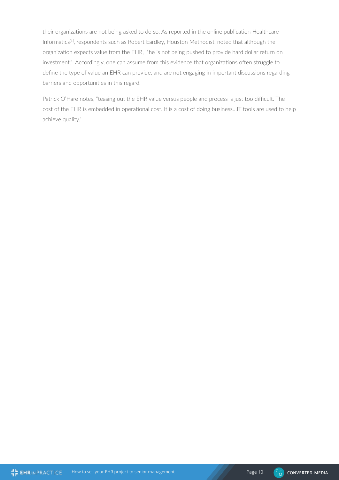their organizations are not being asked to do so. As reported in the online publication Healthcare Informatics<sup>[1]</sup>, respondents such as Robert Eardley, Houston Methodist, noted that although the organization expects value from the EHR, "he is not being pushed to provide hard dollar return on investment." Accordingly, one can assume from this evidence that organizations often struggle to define the type of value an EHR can provide, and are not engaging in important discussions regarding barriers and opportunities in this regard.

Patrick O'Hare notes, "teasing out the EHR value versus people and process is just too difficult. The cost of the EHR is embedded in operational cost. It is a cost of doing business…IT tools are used to help achieve quality."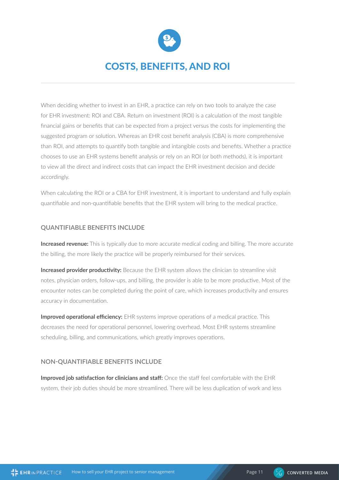

## COSTS, BENEFITS, AND ROI

When deciding whether to invest in an EHR, a practice can rely on two tools to analyze the case for EHR investment: ROI and CBA. Return on investment (ROI) is a calculation of the most tangible financial gains or benefits that can be expected from a project versus the costs for implementing the suggested program or solution. Whereas an EHR cost benefit analysis (CBA) is more comprehensive than ROI, and attempts to quantify both tangible and intangible costs and benefits. Whether a practice chooses to use an EHR systems benefit analysis or rely on an ROI (or both methods), it is important to view all the direct and indirect costs that can impact the EHR investment decision and decide accordingly.

When calculating the ROI or a CBA for EHR investment, it is important to understand and fully explain quantifiable and non-quantifiable benefits that the EHR system will bring to the medical practice.

#### **QUANTIFIABLE BENEFITS INCLUDE**

**Increased revenue:** This is typically due to more accurate medical coding and billing. The more accurate the billing, the more likely the practice will be properly reimbursed for their services.

**Increased provider productivity:** Because the EHR system allows the clinician to streamline visit notes, physician orders, follow-ups, and billing, the provider is able to be more productive. Most of the encounter notes can be completed during the point of care, which increases productivity and ensures accuracy in documentation.

**Improved operational efficiency:** EHR systems improve operations of a medical practice. This decreases the need for operational personnel, lowering overhead. Most EHR systems streamline scheduling, billing, and communications, which greatly improves operations.

#### **NON-QUANTIFIABLE BENEFITS INCLUDE**

**Improved job satisfaction for clinicians and staff:** Once the staff feel comfortable with the EHR system, their job duties should be more streamlined. There will be less duplication of work and less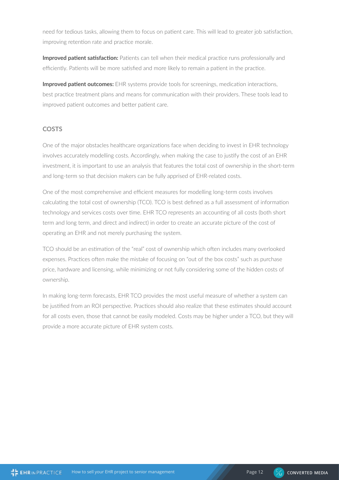need for tedious tasks, allowing them to focus on patient care. This will lead to greater job satisfaction, improving retention rate and practice morale.

**Improved patient satisfaction:** Patients can tell when their medical practice runs professionally and efficiently. Patients will be more satisfied and more likely to remain a patient in the practice.

**Improved patient outcomes:** EHR systems provide tools for screenings, medication interactions, best practice treatment plans and means for communication with their providers. These tools lead to improved patient outcomes and better patient care.

#### **COSTS**

One of the major obstacles healthcare organizations face when deciding to invest in EHR technology involves accurately modelling costs. Accordingly, when making the case to justify the cost of an EHR investment, it is important to use an analysis that features the total cost of ownership in the short-term and long-term so that decision makers can be fully apprised of EHR-related costs.

One of the most comprehensive and efficient measures for modelling long-term costs involves calculating the total cost of ownership (TCO). TCO is best defined as a full assessment of information technology and services costs over time. EHR TCO represents an accounting of all costs (both short term and long term, and direct and indirect) in order to create an accurate picture of the cost of operating an EHR and not merely purchasing the system.

TCO should be an estimation of the "real" cost of ownership which often includes many overlooked expenses. Practices often make the mistake of focusing on "out of the box costs" such as purchase price, hardware and licensing, while minimizing or not fully considering some of the hidden costs of ownership.

In making long-term forecasts, EHR TCO provides the most useful measure of whether a system can be justified from an ROI perspective. Practices should also realize that these estimates should account for all costs even, those that cannot be easily modeled. Costs may be higher under a TCO, but they will provide a more accurate picture of EHR system costs.